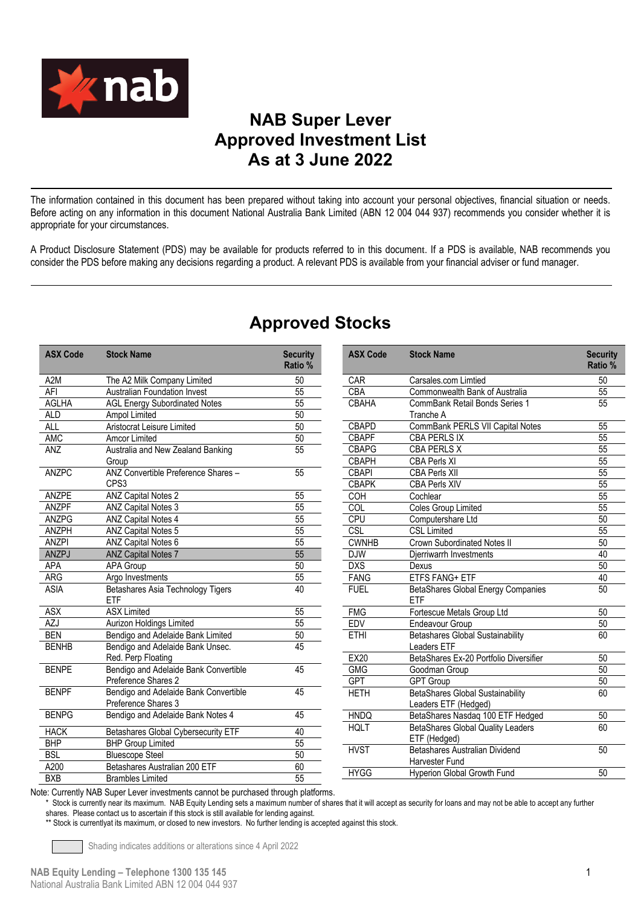

## **NAB Super Lever Approved Investment List As at 3 June 2022**

The information contained in this document has been prepared without taking into account your personal objectives, financial situation or needs. Before acting on any information in this document National Australia Bank Limited (ABN 12 004 044 937) recommends you consider whether it is appropriate for your circumstances.

A Product Disclosure Statement (PDS) may be available for products referred to in this document. If a PDS is available, NAB recommends you consider the PDS before making any decisions regarding a product. A relevant PDS is available from your financial adviser or fund manager.

| <b>ASX Code</b>  | <b>Stock Name</b>                                            | <b>Security</b><br>Ratio % |
|------------------|--------------------------------------------------------------|----------------------------|
| A <sub>2</sub> M | The A2 Milk Company Limited                                  | 50                         |
| AFI              | <b>Australian Foundation Invest</b>                          | 55                         |
| <b>AGLHA</b>     | <b>AGL Energy Subordinated Notes</b>                         | 55                         |
| <b>ALD</b>       | Ampol Limited                                                | 50                         |
| <b>ALL</b>       | Aristocrat Leisure Limited                                   | 50                         |
| <b>AMC</b>       | Amcor Limited                                                | 50                         |
| ANZ              | Australia and New Zealand Banking<br>Group                   | 55                         |
| <b>ANZPC</b>     | ANZ Convertible Preference Shares -<br>CPS3                  | 55                         |
| <b>ANZPE</b>     | <b>ANZ Capital Notes 2</b>                                   | 55                         |
| <b>ANZPF</b>     | <b>ANZ Capital Notes 3</b>                                   | 55                         |
| <b>ANZPG</b>     | <b>ANZ Capital Notes 4</b>                                   | 55                         |
| ANZPH            | <b>ANZ Capital Notes 5</b>                                   | 55                         |
| <b>ANZPI</b>     | ANZ Capital Notes 6                                          | 55                         |
| ANZPJ            | <b>ANZ Capital Notes 7</b>                                   | 55                         |
| APA              | <b>APA Group</b>                                             | 50                         |
| ARG              | Argo Investments                                             | 55                         |
| <b>ASIA</b>      | Betashares Asia Technology Tigers<br>ETF                     | 40                         |
| <b>ASX</b>       | <b>ASX Limited</b>                                           | 55                         |
| AZJ              | Aurizon Holdings Limited                                     | 55                         |
| <b>BEN</b>       | Bendigo and Adelaide Bank Limited                            | 50                         |
| <b>BENHB</b>     | Bendigo and Adelaide Bank Unsec.<br>Red. Perp Floating       | 45                         |
| <b>BENPE</b>     | Bendigo and Adelaide Bank Convertible<br>Preference Shares 2 | 45                         |
| <b>BENPF</b>     | Bendigo and Adelaide Bank Convertible<br>Preference Shares 3 | 45                         |
| <b>BENPG</b>     | Bendigo and Adelaide Bank Notes 4                            | 45                         |
| <b>HACK</b>      | <b>Betashares Global Cybersecurity ETF</b>                   | 40                         |
| <b>BHP</b>       | <b>BHP Group Limited</b>                                     | $\overline{55}$            |
| <b>BSL</b>       | <b>Bluescope Steel</b>                                       | $\overline{50}$            |
| A200             | Betashares Australian 200 ETF                                | 60                         |
| <b>BXB</b>       | <b>Brambles Limited</b>                                      | $\overline{55}$            |

## **Approved Stocks**

| <b>ASX Code</b> | <b>Stock Name</b>                                        | <b>Security</b><br>Ratio % |
|-----------------|----------------------------------------------------------|----------------------------|
| <b>CAR</b>      | Carsales.com Limtied                                     | 50                         |
| CBA             | Commonwealth Bank of Australia                           | 55                         |
| CBAHA           | CommBank Retail Bonds Series 1<br>Tranche A              | 55                         |
| <b>CBAPD</b>    | CommBank PERLS VII Capital Notes                         | 55                         |
| <b>CBAPF</b>    | CBA PERLS IX                                             | 55                         |
| <b>CBAPG</b>    | <b>CBA PERLS X</b>                                       | $\overline{55}$            |
| <b>CBAPH</b>    | <b>CBA Perls XI</b>                                      | $\overline{55}$            |
| <b>CBAPI</b>    | <b>CBA Perls XII</b>                                     | $\overline{55}$            |
| <b>CBAPK</b>    | <b>CBA Perls XIV</b>                                     | 55                         |
| COH             | Cochlear                                                 | $\overline{55}$            |
| <b>COL</b>      | <b>Coles Group Limited</b>                               | $\overline{55}$            |
| CPU             | Computershare Ltd                                        | 50                         |
| CSL             | <b>CSL Limited</b>                                       | $\overline{55}$            |
| <b>CWNHB</b>    | <b>Crown Subordinated Notes II</b>                       | $\overline{50}$            |
| <b>DJW</b>      | Djerriwarrh Investments                                  | 40                         |
| <b>DXS</b>      | Dexus                                                    | 50                         |
| <b>FANG</b>     | ETFS FANG+ ETF                                           | 40                         |
| <b>FUEL</b>     | <b>BetaShares Global Energy Companies</b><br><b>FTF</b>  | 50                         |
| <b>FMG</b>      | Fortescue Metals Group Ltd                               | 50                         |
| <b>EDV</b>      | <b>Endeavour Group</b>                                   | 50                         |
| <b>ETHI</b>     | <b>Betashares Global Sustainability</b><br>Leaders ETF   | 60                         |
| <b>EX20</b>     | BetaShares Ex-20 Portfolio Diversifier                   | 50                         |
| <b>GMG</b>      | Goodman Group                                            | 50                         |
| <b>GPT</b>      | <b>GPT Group</b>                                         | 50                         |
| <b>HETH</b>     | BetaShares Global Sustainability<br>Leaders ETF (Hedged) | 60                         |
| <b>HNDQ</b>     | BetaShares Nasdaq 100 ETF Hedged                         | 50                         |
| <b>HQLT</b>     | <b>BetaShares Global Quality Leaders</b><br>ETF (Hedged) | 60                         |
| <b>HVST</b>     | Betashares Australian Dividend<br>Harvester Fund         | 50                         |
| <b>HYGG</b>     | Hyperion Global Growth Fund                              | 50                         |

Note: Currently NAB Super Lever investments cannot be purchased through platforms.

Stock is currently near its maximum. NAB Equity Lending sets a maximum number of shares that it will accept as security for loans and may not be able to accept any further shares. Please contact us to ascertain if this stock is still available for lending against.

\*\* Stock is currentlyat its maximum, or closed to new investors. No further lending is accepted against this stock.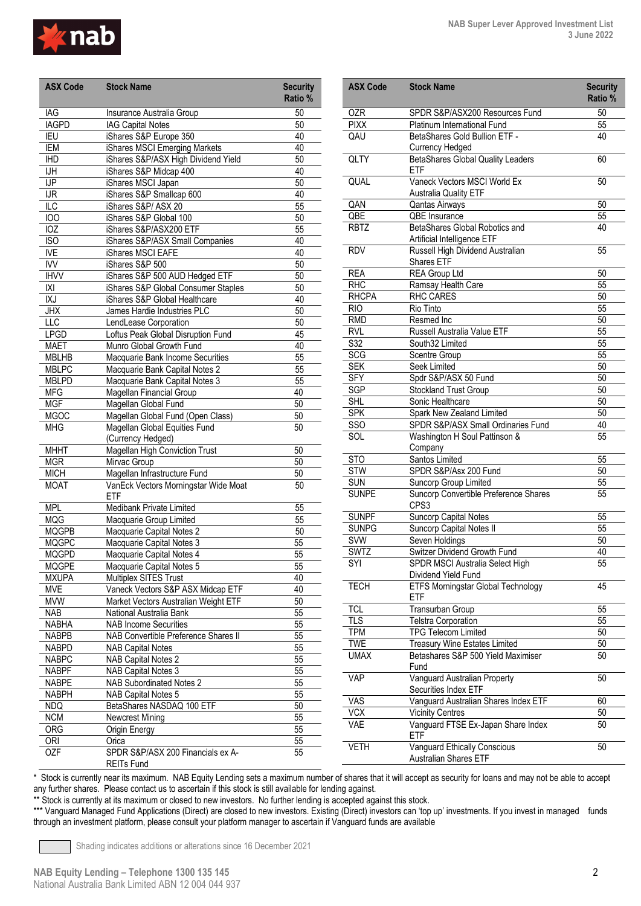

| <b>ASX Code</b>                              | <b>Stock Name</b>                           | <b>Security</b><br>Ratio % |
|----------------------------------------------|---------------------------------------------|----------------------------|
| IAG                                          | Insurance Australia Group                   | 50                         |
| <b>IAGPD</b>                                 | <b>IAG Capital Notes</b>                    | 50                         |
| IEU                                          | iShares S&P Europe 350                      | 40                         |
| IEM                                          | iShares MSCI Emerging Markets               | 40                         |
| <b>IHD</b>                                   | iShares S&P/ASX High Dividend Yield         | 50                         |
| $\overline{\overline{\mathsf{u}}\mathsf{H}}$ | iShares S&P Midcap 400                      | 40                         |
| $\overline{\mathsf{UP}}$                     | iShares MSCI Japan                          | 50                         |
| <b>IJR</b>                                   | iShares S&P Smallcap 600                    | 40                         |
| $\overline{\text{LC}}$                       | iShares S&P/ ASX 20                         | 55                         |
| 100                                          | iShares S&P Global 100                      | 50                         |
| $\overline{10Z}$                             | iShares S&P/ASX200 ETF                      | $\overline{55}$            |
| <b>ISO</b>                                   | iShares S&P/ASX Small Companies             | 40                         |
| <b>IVE</b>                                   | iShares MSCI EAFE                           | 40                         |
| <b>IVV</b>                                   | iShares S&P 500                             | 50                         |
| <b>IHVV</b>                                  | iShares S&P 500 AUD Hedged ETF              | 50                         |
| X                                            | iShares S&P Global Consumer Staples         | 50                         |
| <b>IXJ</b>                                   | iShares S&P Global Healthcare               | 40                         |
| <b>JHX</b>                                   | James Hardie Industries PLC                 | 50                         |
| LLC                                          | LendLease Corporation                       | 50                         |
| <b>LPGD</b>                                  | Loftus Peak Global Disruption Fund          | 45                         |
| <b>MAET</b>                                  | Munro Global Growth Fund                    | 40                         |
| <b>MBLHB</b>                                 | Macquarie Bank Income Securities            | 55                         |
| <b>MBLPC</b>                                 | Macquarie Bank Capital Notes 2              | 55                         |
| <b>MBLPD</b>                                 | Macquarie Bank Capital Notes 3              | $\overline{55}$            |
| <b>MFG</b>                                   | Magellan Financial Group                    | 40                         |
| <b>MGF</b>                                   | Magellan Global Fund                        | 50                         |
| <b>MGOC</b>                                  | Magellan Global Fund (Open Class)           | 50                         |
| <b>MHG</b>                                   | Magellan Global Equities Fund               |                            |
|                                              | (Currency Hedged)                           | 50                         |
| <b>MHHT</b>                                  | Magellan High Conviction Trust              | 50                         |
| <b>MGR</b>                                   | Mirvac Group                                | 50                         |
| <b>MICH</b>                                  | Magellan Infrastructure Fund                | 50                         |
| <b>MOAT</b>                                  | VanEck Vectors Morningstar Wide Moat<br>ETF | 50                         |
| <b>MPL</b>                                   | Medibank Private Limited                    | 55                         |
| <b>MQG</b>                                   | Macquarie Group Limited                     | $\overline{55}$            |
| <b>MQGPB</b>                                 | Macquarie Capital Notes 2                   | 50                         |
| <b>MQGPC</b>                                 | Macquarie Capital Notes 3                   | 55                         |
| <b>MQGPD</b>                                 | Macquarie Capital Notes 4                   | $\overline{55}$            |
| <b>MQGPE</b>                                 | Macquarie Capital Notes 5                   | 55                         |
| <b>MXUPA</b>                                 | Multiplex SITES Trust                       | 40                         |
| <b>MVE</b>                                   | Vaneck Vectors S&P ASX Midcap ETF           | 40                         |
| <b>MVW</b>                                   | Market Vectors Australian Weight ETF        | 50                         |
| NAB                                          | National Australia Bank                     | 55                         |
| <b>NABHA</b>                                 | <b>NAB Income Securities</b>                | 55                         |
| <b>NABPB</b>                                 | NAB Convertible Preference Shares II        | 55                         |
| <b>NABPD</b>                                 | <b>NAB Capital Notes</b>                    | 55                         |
| <b>NABPC</b>                                 | <b>NAB Capital Notes 2</b>                  | 55                         |
| <b>NABPF</b>                                 | <b>NAB Capital Notes 3</b>                  | 55                         |
| <b>NABPE</b>                                 | <b>NAB Subordinated Notes 2</b>             | 55                         |
| <b>NABPH</b>                                 | NAB Capital Notes 5                         | 55                         |
|                                              | BetaShares NASDAQ 100 ETF                   |                            |
| <b>NDQ</b>                                   |                                             | 50                         |
| <b>NCM</b>                                   | Newcrest Mining                             | 55                         |
| <b>ORG</b>                                   | Origin Energy                               | 55                         |
| <b>ORI</b>                                   | Orica                                       | 55                         |
| <b>OZF</b>                                   | SPDR S&P/ASX 200 Financials ex A-           | 55                         |

| <b>ASX Code</b> | <b>Stock Name</b>                                             | <b>Security</b><br>Ratio % |
|-----------------|---------------------------------------------------------------|----------------------------|
| <b>OZR</b>      | SPDR S&P/ASX200 Resources Fund                                | 50                         |
| <b>PIXX</b>     | Platinum International Fund                                   | 55                         |
| QAU             | BetaShares Gold Bullion ETF -                                 | 40                         |
|                 | <b>Currency Hedged</b>                                        |                            |
| QLTY            | <b>BetaShares Global Quality Leaders</b><br><b>ETF</b>        | 60                         |
| QUAL            | Vaneck Vectors MSCI World Ex<br><b>Australia Quality ETF</b>  | 50                         |
| QAN             | Qantas Airways                                                | 50                         |
| QBE             | QBE Insurance                                                 | 55                         |
| <b>RBTZ</b>     | BetaShares Global Robotics and<br>Artificial Intelligence ETF | 40                         |
| <b>RDV</b>      | Russell High Dividend Australian<br>Shares ETF                | 55                         |
| <b>REA</b>      | <b>REA Group Ltd</b>                                          | 50                         |
| <b>RHC</b>      | Ramsay Health Care                                            | 55                         |
| <b>RHCPA</b>    | RHC CARES                                                     | 50                         |
| <b>RIO</b>      | Rio Tinto                                                     | 55                         |
| <b>RMD</b>      | Resmed Inc                                                    | 50                         |
| RVL             | Russell Australia Value ETF                                   | 55                         |
| S32             | South32 Limited                                               | 55                         |
| <b>SCG</b>      | Scentre Group                                                 | 55                         |
| <b>SEK</b>      | Seek Limited                                                  | 50                         |
| <b>SFY</b>      | Spdr S&P/ASX 50 Fund                                          | 50                         |
| <b>SGP</b>      | <b>Stockland Trust Group</b>                                  | 50                         |
| <b>SHL</b>      | Sonic Healthcare                                              | 50                         |
| <b>SPK</b>      | Spark New Zealand Limited                                     | 50                         |
| SSO             | SPDR S&P/ASX Small Ordinaries Fund                            | 40                         |
| SOL             | Washington H Soul Pattinson &<br>Company                      | 55                         |
| STO             | Santos Limited                                                | 55                         |
| <b>STW</b>      | SPDR S&P/Asx 200 Fund                                         | 50                         |
| <b>SUN</b>      | Suncorp Group Limited                                         | 55                         |
| <b>SUNPE</b>    | Suncorp Convertible Preference Shares<br>CPS3                 | 55                         |
| <b>SUNPF</b>    | Suncorp Capital Notes                                         | 55                         |
| <b>SUNPG</b>    | Suncorp Capital Notes II                                      | 55                         |
| <b>SVW</b>      | Seven Holdings                                                | 50                         |
| SWTZ            | Switzer Dividend Growth Fund                                  | 40                         |
| SYI             | SPDR MSCI Australia Select High<br>Dividend Yield Fund        | 55                         |
| <b>TECH</b>     | ETFS Morningstar Global Technology<br>ETF                     | 45                         |
| <b>TCL</b>      | Transurban Group                                              | 55                         |
| <b>TLS</b>      | <b>Telstra Corporation</b>                                    | 55                         |
| <b>TPM</b>      | TPG Telecom Limited                                           | 50                         |
| TWE             | Treasury Wine Estates Limited                                 | 50                         |
| <b>UMAX</b>     | Betashares S&P 500 Yield Maximiser<br>Fund                    | 50                         |
| VAP             | Vanguard Australian Property<br>Securities Index ETF          | 50                         |
| VAS             | Vanguard Australian Shares Index ETF                          | 60                         |
| VCX             | <b>Vicinity Centres</b>                                       | 50                         |
| VAE             | Vanguard FTSE Ex-Japan Share Index<br>ETF                     | 50                         |
| VETH            | Vanguard Ethically Conscious<br>Australian Shares ETF         | 50                         |

\* Stock is currently near its maximum. NAB Equity Lending sets a maximum number of shares that it will accept as security for loans and may not be able to accept any further shares. Please contact us to ascertain if this stock is still available for lending against.

\*\* Stock is currently at its maximum or closed to new investors. No further lending is accepted against this stock.

\*\*\* Vanguard Managed Fund Applications (Direct) are closed to new investors. Existing (Direct) investors can 'top up' investments. If you invest in managed funds through an investment platform, please consult your platform manager to ascertain if Vanguard funds are available

Shading indicates additions or alterations since 16 December 2021

REITs Fund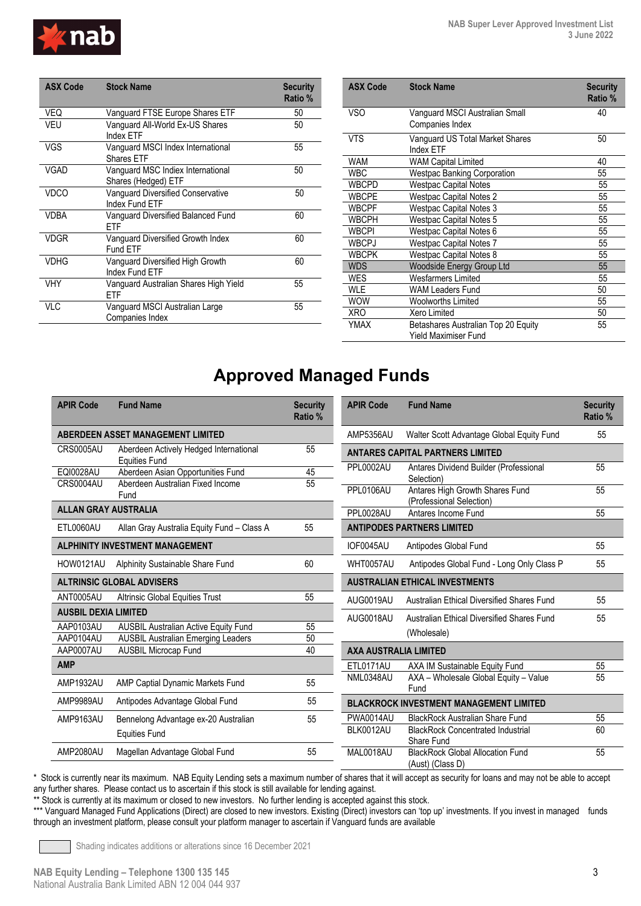

| <b>ASX Code</b> | <b>Stock Name</b>                                          | <b>Security</b><br>Ratio % |
|-----------------|------------------------------------------------------------|----------------------------|
| VEQ             | Vanguard FTSE Europe Shares ETF                            | 50                         |
| VEU             | Vanguard All-World Ex-US Shares<br><b>Index FTF</b>        | 50                         |
| VGS             | Vanguard MSCI Index International<br>Shares FTF            | 55                         |
| VGAD            | Vanguard MSC Indiex International<br>Shares (Hedged) ETF   | 50                         |
| VDCO            | <b>Vanguard Diversified Conservative</b><br>Index Fund FTF | 50                         |
| <b>VDBA</b>     | Vanguard Diversified Balanced Fund<br>FTF                  | 60                         |
| <b>VDGR</b>     | Vanguard Diversified Growth Index<br>Fund FTF              | 60                         |
| <b>VDHG</b>     | Vanguard Diversified High Growth<br>Index Fund FTF         | 60                         |
| <b>VHY</b>      | Vanguard Australian Shares High Yield<br>FTF               | 55                         |
| VI C            | Vanguard MSCI Australian Large<br>Companies Index          | 55                         |

| <b>ASX Code</b> | <b>Stock Name</b>                                           | <b>Security</b><br>Ratio % |
|-----------------|-------------------------------------------------------------|----------------------------|
| VSO             | Vanguard MSCI Australian Small<br>Companies Index           | 40                         |
| <b>VTS</b>      | Vanguard US Total Market Shares<br><b>Index FTF</b>         | 50                         |
| <b>WAM</b>      | <b>WAM Capital Limited</b>                                  | 40                         |
| <b>WBC</b>      | <b>Westpac Banking Corporation</b>                          | 55                         |
| <b>WBCPD</b>    | <b>Westpac Capital Notes</b>                                | 55                         |
| <b>WBCPE</b>    | <b>Westpac Capital Notes 2</b>                              | 55                         |
| <b>WBCPF</b>    | <b>Westpac Capital Notes 3</b>                              | 55                         |
| <b>WBCPH</b>    | <b>Westpac Capital Notes 5</b>                              | 55                         |
| <b>WBCPI</b>    | Westpac Capital Notes 6                                     | 55                         |
| <b>WBCPJ</b>    | <b>Westpac Capital Notes 7</b>                              | 55                         |
| <b>WBCPK</b>    | <b>Westpac Capital Notes 8</b>                              | 55                         |
| <b>WDS</b>      | Woodside Energy Group Ltd                                   | 55                         |
| <b>WES</b>      | <b>Wesfarmers Limited</b>                                   | 55                         |
| <b>WLE</b>      | <b>WAM Leaders Fund</b>                                     | 50                         |
| <b>WOW</b>      | <b>Woolworths Limited</b>                                   | 55                         |
| <b>XRO</b>      | Xero Limited                                                | 50                         |
| YMAX            | Betashares Australian Top 20 Equity<br>Yield Maximiser Fund | 55                         |

## **Approved Managed Funds**

| <b>APIR Code</b>            | <b>Fund Name</b>                                               | <b>Security</b><br>Ratio % |
|-----------------------------|----------------------------------------------------------------|----------------------------|
|                             | <b>ABERDEEN ASSET MANAGEMENT LIMITED</b>                       |                            |
| CRS0005AU                   | Aberdeen Actively Hedged International<br><b>Equities Fund</b> | 55                         |
| <b>EQI0028AU</b>            | Aberdeen Asian Opportunities Fund                              | 45                         |
| CRS0004AU                   | Aberdeen Australian Fixed Income<br>Fund                       | 55                         |
| <b>ALLAN GRAY AUSTRALIA</b> |                                                                |                            |
| ETL0060AU                   | Allan Gray Australia Equity Fund - Class A                     | 55                         |
|                             | <b>ALPHINITY INVESTMENT MANAGEMENT</b>                         |                            |
| HOW0121AU                   | Alphinity Sustainable Share Fund                               | 60                         |
|                             | <b>ALTRINSIC GLOBAL ADVISERS</b>                               |                            |
| ANT0005AU                   | <b>Altrinsic Global Equities Trust</b>                         | 55                         |
| <b>AUSBIL DEXIA LIMITED</b> |                                                                |                            |
| AAP0103AU                   | <b>AUSBIL Australian Active Equity Fund</b>                    | 55                         |
| AAP0104AU                   | <b>AUSBIL Australian Emerging Leaders</b>                      | 50                         |
| AAP0007AU                   | <b>AUSBIL Microcap Fund</b>                                    | 40                         |
| <b>AMP</b>                  |                                                                |                            |
| <b>AMP1932AU</b>            | AMP Captial Dynamic Markets Fund                               | 55                         |
| AMP9989AU                   | Antipodes Advantage Global Fund                                | 55                         |
| AMP9163AU                   | Bennelong Advantage ex-20 Australian                           | 55                         |
|                             | <b>Equities Fund</b>                                           |                            |
| AMP2080AU                   | Magellan Advantage Global Fund                                 | 55                         |

| <b>APIR Code</b>             | <b>Fund Name</b>                                            | <b>Security</b><br>Ratio % |
|------------------------------|-------------------------------------------------------------|----------------------------|
| AMP5356AU                    | Walter Scott Advantage Global Equity Fund                   | 55                         |
|                              | <b>ANTARES CAPITAL PARTNERS LIMITED</b>                     |                            |
| PPL0002AU                    | Antares Dividend Builder (Professional<br>Selection)        | 55                         |
| PPL0106AU                    | Antares High Growth Shares Fund<br>(Professional Selection) | 55                         |
| PPL0028AU                    | Antares Income Fund                                         | 55                         |
|                              | <b>ANTIPODES PARTNERS LIMITED</b>                           |                            |
| IOF0045AU                    | Antipodes Global Fund                                       | 55                         |
| WHT0057AU                    | Antipodes Global Fund - Long Only Class P                   | 55                         |
|                              | <b>AUSTRALIAN ETHICAL INVESTMENTS</b>                       |                            |
| AUG0019AU                    | Australian Ethical Diversified Shares Fund                  | 55                         |
| AUG0018AU                    | Australian Ethical Diversified Shares Fund                  | 55                         |
|                              | (Wholesale)                                                 |                            |
| <b>AXA AUSTRALIA LIMITED</b> |                                                             |                            |
| ETL0171AU                    | AXA IM Sustainable Equity Fund                              | 55                         |
| NML0348AU                    | AXA - Wholesale Global Equity - Value<br>Fund               | 55                         |
|                              | <b>BLACKROCK INVESTMENT MANAGEMENT LIMITED</b>              |                            |
| <b>PWA0014AU</b>             | <b>BlackRock Australian Share Fund</b>                      | 55                         |
| BLK0012AU                    | <b>BlackRock Concentrated Industrial</b><br>Share Fund      | 60                         |
| MAL0018AU                    | <b>BlackRock Global Allocation Fund</b><br>(Aust) (Class D) | 55                         |

\* Stock is currently near its maximum. NAB Equity Lending sets a maximum number of shares that it will accept as security for loans and may not be able to accept any further shares. Please contact us to ascertain if this stock is still available for lending against.

\*\* Stock is currently at its maximum or closed to new investors. No further lending is accepted against this stock.

\*\*\* Vanguard Managed Fund Applications (Direct) are closed to new investors. Existing (Direct) investors can 'top up' investments. If you invest in managed funds through an investment platform, please consult your platform manager to ascertain if Vanguard funds are available

Shading indicates additions or alterations since 16 December 2021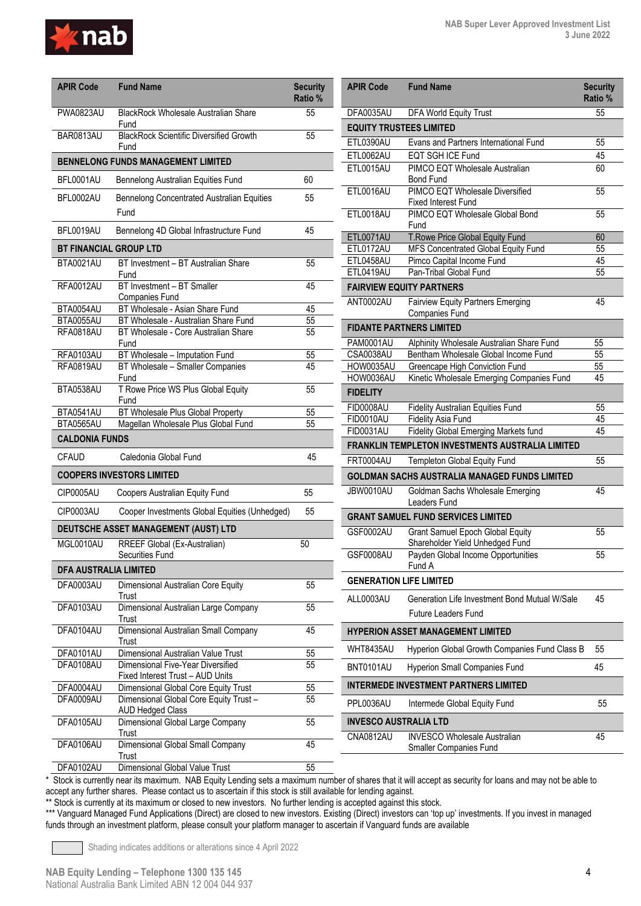

| <b>APIR Code</b>                               | <b>Fund Name</b>                                                             | <b>Security</b><br>Ratio % |
|------------------------------------------------|------------------------------------------------------------------------------|----------------------------|
| <b>PWA0823AU</b>                               | <b>BlackRock Wholesale Australian Share</b><br>Fund                          | 55                         |
| BAR0813AU                                      | <b>BlackRock Scientific Diversified Growth</b><br>Fund                       | 55                         |
|                                                | <b>BENNELONG FUNDS MANAGEMENT LIMITED</b>                                    |                            |
| BFL0001AU                                      | Bennelong Australian Equities Fund                                           | 60                         |
| BFL0002AU                                      | Bennelong Concentrated Australian Equities<br>Fund                           | 55                         |
| BFL0019AU                                      | Bennelong 4D Global Infrastructure Fund                                      | 45                         |
|                                                | <b>BT FINANCIAL GROUP LTD</b>                                                |                            |
| BTA0021AU                                      | BT Investment - BT Australian Share<br>Fund                                  | 55                         |
| <b>RFA0012AU</b>                               | BT Investment - BT Smaller<br>Companies Fund                                 | 45                         |
| BTA0054AU                                      | BT Wholesale - Asian Share Fund                                              | 45                         |
| BTA0055AU<br>RFA0818AU                         | BT Wholesale - Australian Share Fund<br>BT Wholesale - Core Australian Share | 55<br>55                   |
|                                                | Fund                                                                         |                            |
| RFA0103AU                                      | BT Wholesale - Imputation Fund                                               | 55                         |
| RFA0819AU                                      | BT Wholesale - Smaller Companies<br>Fund                                     | 45                         |
| BTA0538AU                                      | T Rowe Price WS Plus Global Equity<br>Fund                                   | 55                         |
| BTA0541AU                                      | BT Wholesale Plus Global Property                                            | 55                         |
| BTA0565AU                                      | Magellan Wholesale Plus Global Fund                                          | 55                         |
| <b>CALDONIA FUNDS</b>                          |                                                                              |                            |
| <b>CFAUD</b>                                   | Caledonia Global Fund                                                        | 45                         |
|                                                | <b>COOPERS INVESTORS LIMITED</b>                                             |                            |
| CIP0005AU                                      | Coopers Australian Equity Fund                                               | 55                         |
| CIP0003AU                                      | Cooper Investments Global Equities (Unhedged)                                | 55                         |
|                                                | DEUTSCHE ASSET MANAGEMENT (AUST) LTD                                         |                            |
| MGL0010AU                                      | RREEF Global (Ex-Australian)<br>Securities Fund                              | 50                         |
| <b>DFA AUSTRALIA LIMITED</b>                   |                                                                              |                            |
| DFA0003AU                                      | Dimensional Australian Core Equity<br>Trust                                  | 55                         |
| DFA0103AU                                      | Dimensional Australian Large Company<br>Trust                                | 55                         |
| DFA0104AU                                      | Dimensional Australian Small Company<br>Trust                                | 45                         |
| DFA0101AU                                      | Dimensional Australian Value Trust                                           | 55                         |
| DFA0108AU                                      | Dimensional Five-Year Diversified<br>Fixed Interest Trust - AUD Units        | 55                         |
| DFA0004AU                                      | Dimensional Global Core Equity Trust                                         | 55                         |
| DFA0009AU                                      | Dimensional Global Core Equity Trust-<br><b>AUD Hedged Class</b>             | 55                         |
| DFA0105AU                                      | Dimensional Global Large Company<br>Trust                                    | 55                         |
| DFA0106AU                                      | Dimensional Global Small Company<br>Trust                                    | 45                         |
| $\Gamma$ $\Lambda$ $\Omega$ $\Lambda$ $\Omega$ |                                                                              | cс                         |

| <b>APIR Code</b>               | <b>Fund Name</b>                                                                                 | <b>Security</b><br>Ratio % |
|--------------------------------|--------------------------------------------------------------------------------------------------|----------------------------|
| DFA0035AU                      | <b>DFA World Equity Trust</b>                                                                    | 55                         |
| <b>EQUITY TRUSTEES LIMITED</b> |                                                                                                  |                            |
| ETL0390AU                      | Evans and Partners International Fund                                                            | 55                         |
| ETL0062AU                      | <b>EQT SGH ICE Fund</b>                                                                          | 45                         |
| ETL0015AU                      | PIMCO EQT Wholesale Australian<br><b>Bond Fund</b>                                               | 60                         |
| ETL0016AU                      | PIMCO EQT Wholesale Diversified<br><b>Fixed Interest Fund</b>                                    | 55                         |
| <b>ETL0018AU</b>               | PIMCO EQT Wholesale Global Bond<br>Fund                                                          | 55                         |
| ETL0071AU                      | T.Rowe Price Global Equity Fund                                                                  | 60                         |
| ETL0172AU                      | MFS Concentrated Global Equity Fund                                                              | 55                         |
| ETL0458AU                      | Pimco Capital Income Fund                                                                        | 45                         |
| ETL0419AU                      | Pan-Tribal Global Fund<br><b>FAIRVIEW EQUITY PARTNERS</b>                                        | 55                         |
| ANT0002AU                      | <b>Fairview Equity Partners Emerging</b>                                                         | 45                         |
|                                | Companies Fund                                                                                   |                            |
|                                | <b>FIDANTE PARTNERS LIMITED</b>                                                                  |                            |
| <b>PAM0001AU</b>               | Alphinity Wholesale Australian Share Fund                                                        | 55                         |
| CSA0038AU                      | Bentham Wholesale Global Income Fund                                                             | 55                         |
| HOW0035AU                      | Greencape High Conviction Fund                                                                   | 55                         |
| HOW0036AU                      | Kinetic Wholesale Emerging Companies Fund                                                        | 45                         |
| <b>FIDELITY</b>                |                                                                                                  |                            |
| FID0008AU                      | <b>Fidelity Australian Equities Fund</b>                                                         | 55                         |
| <b>FID0010AU</b>               | <b>Fidelity Asia Fund</b>                                                                        | 45<br>45                   |
| <b>FID0031AU</b>               | <b>Fidelity Global Emerging Markets fund</b><br>FRANKLIN TEMPLETON INVESTMENTS AUSTRALIA LIMITED |                            |
| <b>FRT0004AU</b>               | Templeton Global Equity Fund                                                                     | 55                         |
|                                | <b>GOLDMAN SACHS AUSTRALIA MANAGED FUNDS LIMITED</b>                                             |                            |
| JBW0010AU                      | Goldman Sachs Wholesale Emerging<br>Leaders Fund                                                 | 45                         |
|                                | <b>GRANT SAMUEL FUND SERVICES LIMITED</b>                                                        |                            |
| GSF0002AU                      | <b>Grant Samuel Epoch Global Equity</b>                                                          | 55                         |
|                                | Shareholder Yield Unhedged Fund                                                                  |                            |
| GSF0008AU                      | Payden Global Income Opportunities<br>Fund A                                                     | 55                         |
| <b>GENERATION LIFE LIMITED</b> |                                                                                                  |                            |
| ALL0003AU                      | Generation Life Investment Bond Mutual W/Sale<br><b>Future Leaders Fund</b>                      | 45                         |
|                                | HYPERION ASSET MANAGEMENT LIMITED                                                                |                            |
|                                |                                                                                                  |                            |
| WHT8435AU                      | Hyperion Global Growth Companies Fund Class B                                                    | 55                         |
| BNT0101AU                      | Hyperion Small Companies Fund                                                                    | 45                         |
|                                | <b>INTERMEDE INVESTMENT PARTNERS LIMITED</b>                                                     |                            |
| PPL0036AU                      | Intermede Global Equity Fund                                                                     | 55                         |
| INVESCO AUSTRALIA LTD          |                                                                                                  |                            |
| <b>CNA0812AU</b>               | <b>INVESCO Wholesale Australian</b><br>Smaller Companies Fund                                    | 45                         |
|                                |                                                                                                  |                            |

DFA0102AU Dimensional Global Value Trust

\* Stock is currently near its maximum. NAB Equity Lending sets a maximum number of shares that it will accept as security for loans and may not be able to accept any further shares. Please contact us to ascertain if this stock is still available for lending against.

\*\* Stock is currently at its maximum or closed to new investors. No further lending is accepted against this stock.

\*\*\* Vanguard Managed Fund Applications (Direct) are closed to new investors. Existing (Direct) investors can 'top up' investments. If you invest in managed funds through an investment platform, please consult your platform manager to ascertain if Vanguard funds are available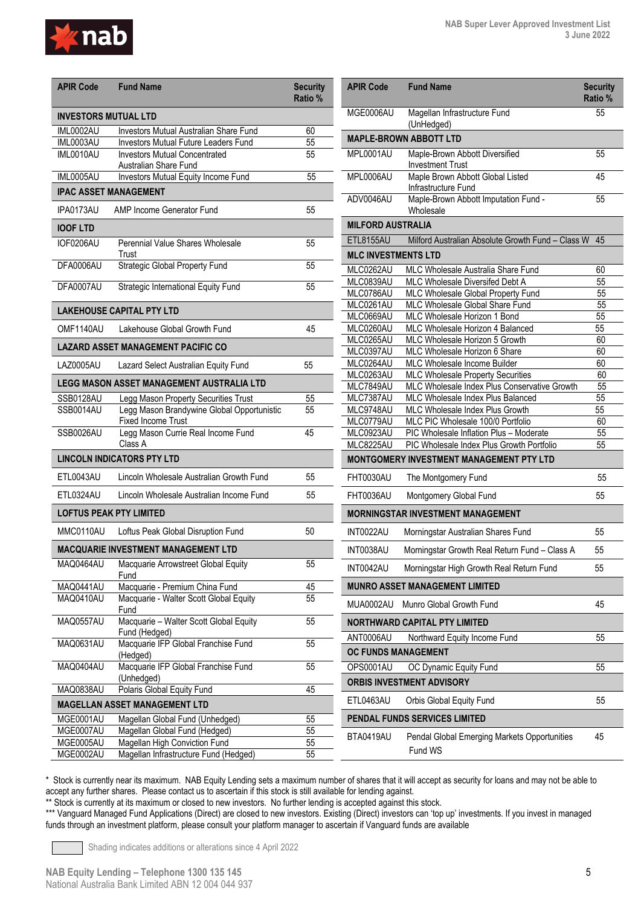

| <b>APIR Code</b>     | <b>Fund Name</b>                                                        | <b>Security</b><br>Ratio % |
|----------------------|-------------------------------------------------------------------------|----------------------------|
| INVESTORS MUTUAL LTD |                                                                         |                            |
| IML0002AU            | Investors Mutual Australian Share Fund                                  | 60                         |
| IML0003AU            | <b>Investors Mutual Future Leaders Fund</b>                             | 55                         |
| IML0010AU            | <b>Investors Mutual Concentrated</b><br>Australian Share Fund           | 55                         |
| IML0005AU            | Investors Mutual Equity Income Fund                                     | 55                         |
|                      | <b>IPAC ASSET MANAGEMENT</b>                                            |                            |
| IPA0173AU            | AMP Income Generator Fund                                               | 55                         |
| <b>IOOF LTD</b>      |                                                                         |                            |
| IOF0206AU            | Perennial Value Shares Wholesale<br>Trust                               | 55                         |
| DFA0006AU            | <b>Strategic Global Property Fund</b>                                   | 55                         |
| DFA0007AU            | Strategic International Equity Fund                                     | 55                         |
|                      | <b>LAKEHOUSE CAPITAL PTY LTD</b>                                        |                            |
| OMF1140AU            | Lakehouse Global Growth Fund                                            | 45                         |
|                      | <b>LAZARD ASSET MANAGEMENT PACIFIC CO</b>                               |                            |
| LAZ0005AU            | Lazard Select Australian Equity Fund                                    | 55                         |
|                      | LEGG MASON ASSET MANAGEMENT AUSTRALIA LTD                               |                            |
| SSB0128AU            | Legg Mason Property Securities Trust                                    | 55                         |
| <b>SSB0014AU</b>     | Legg Mason Brandywine Global Opportunistic<br><b>Fixed Income Trust</b> | 55                         |
| SSB0026AU            | Legg Mason Currie Real Income Fund<br>Class A                           | 45                         |
|                      | <b>LINCOLN INDICATORS PTY LTD</b>                                       |                            |
| ETL0043AU            | Lincoln Wholesale Australian Growth Fund                                | 55                         |
| ETL0324AU            | Lincoln Wholesale Australian Income Fund                                | 55                         |
|                      | <b>LOFTUS PEAK PTY LIMITED</b>                                          |                            |
| MMC0110AU            | Loftus Peak Global Disruption Fund                                      | 50                         |
|                      | MACQUARIE INVESTMENT MANAGEMENT LTD                                     |                            |
|                      | MAQ0464AU Macquarie Arrowstreet Global Equity<br>Fund                   | 55                         |
| MAQ0441AU            | Macquarie - Premium China Fund                                          | 45                         |
| MAQ0410AU            | Macquarie - Walter Scott Global Equity<br>Fund                          | 55                         |
| MAQ0557AU            | Macquarie - Walter Scott Global Equity<br>Fund (Hedged)                 | 55                         |
| MAQ0631AU            | Macquarie IFP Global Franchise Fund<br>(Hedged)                         | 55                         |
| MAQ0404AU            | Macquarie IFP Global Franchise Fund<br>(Unhedged)                       | 55                         |
| MAQ0838AU            | Polaris Global Equity Fund                                              | 45                         |
|                      | <b>MAGELLAN ASSET MANAGEMENT LTD</b>                                    |                            |
| MGE0001AU            | Magellan Global Fund (Unhedged)                                         | 55                         |
| MGE0007AU            | Magellan Global Fund (Hedged)                                           | 55                         |
| MGE0005AU            | Magellan High Conviction Fund                                           | 55                         |
| MGE0002AU            | Magellan Infrastructure Fund (Hedged)                                   | 55                         |

| <b>APIR Code</b>           | <b>Fund Name</b>                                                                             | <b>Security</b><br><b>Ratio %</b> |
|----------------------------|----------------------------------------------------------------------------------------------|-----------------------------------|
| MGF0006AU                  | Magellan Infrastructure Fund<br>(UnHedged)                                                   | 55                                |
|                            | <b>MAPLE-BROWN ABBOTT LTD</b>                                                                |                                   |
| MPL0001AU                  | Maple-Brown Abbott Diversified<br><b>Investment Trust</b>                                    | 55                                |
| MPL0006AU                  | Maple Brown Abbott Global Listed<br>Infrastructure Fund                                      | 45                                |
| ADV0046AU                  | Maple-Brown Abbott Imputation Fund -<br>Wholesale                                            | 55                                |
| <b>MILFORD AUSTRALIA</b>   |                                                                                              |                                   |
| <b>ETL8155AU</b>           | Milford Australian Absolute Growth Fund - Class W                                            | 45                                |
| <b>MLC INVESTMENTS LTD</b> |                                                                                              |                                   |
| MLC0262AU                  | MLC Wholesale Australia Share Fund                                                           | 60                                |
| MLC0839AU                  | MLC Wholesale Diversifed Debt A                                                              | 55                                |
| MLC0786AU                  | MLC Wholesale Global Property Fund                                                           | 55                                |
| MLC0261AU                  | MLC Wholesale Global Share Fund                                                              | 55                                |
| MLC0669AU                  | MLC Wholesale Horizon 1 Bond                                                                 | 55                                |
| MLC0260AU                  | MLC Wholesale Horizon 4 Balanced                                                             | 55                                |
| MLC0265AU                  | MLC Wholesale Horizon 5 Growth                                                               | 60                                |
| MLC0397AU                  | MLC Wholesale Horizon 6 Share                                                                | 60                                |
| MLC0264AU                  | MLC Wholesale Income Builder                                                                 | 60                                |
| MLC0263AU                  | <b>MLC Wholesale Property Securities</b>                                                     | 60                                |
| MLC7849AU                  | MLC Wholesale Index Plus Conservative Growth                                                 | 55                                |
| MLC7387AU                  | MLC Wholesale Index Plus Balanced                                                            | 55                                |
| MLC9748AU                  | MLC Wholesale Index Plus Growth                                                              | 55                                |
| MLC0779AU                  | MLC PIC Wholesale 100/0 Portfolio                                                            | 60                                |
| MLC0923AU                  | PIC Wholesale Inflation Plus - Moderate                                                      | 55                                |
| MLC8225AU                  | PIC Wholesale Index Plus Growth Portfolio<br><b>MONTGOMERY INVESTMENT MANAGEMENT PTY LTD</b> | 55                                |
|                            |                                                                                              |                                   |
| FHT0030AU                  | The Montgomery Fund                                                                          | 55                                |
| FHT0036AU                  | Montgomery Global Fund                                                                       | 55                                |
|                            | <b>MORNINGSTAR INVESTMENT MANAGEMENT</b>                                                     |                                   |
| INT0022AU                  | Morningstar Australian Shares Fund                                                           | 55                                |
| INT0038AU                  | Morningstar Growth Real Return Fund - Class A                                                | 55                                |
| INT0042AU                  | Morningstar High Growth Real Return Fund                                                     | 55                                |
|                            | <b>MUNRO ASSET MANAGEMENT LIMITED</b>                                                        |                                   |
| MUA0002AU                  | Munro Global Growth Fund                                                                     | 45                                |
|                            | <b>NORTHWARD CAPITAL PTY LIMITED</b>                                                         |                                   |
| ANT0006AU                  | Northward Equity Income Fund                                                                 | 55                                |
| OC FUNDS MANAGEMENT        |                                                                                              |                                   |
| OPS0001AU                  | OC Dynamic Equity Fund                                                                       | 55                                |
|                            | <b>ORBIS INVESTMENT ADVISORY</b>                                                             |                                   |
| ETL0463AU                  | Orbis Global Equity Fund                                                                     | 55                                |
|                            | <b>PENDAL FUNDS SERVICES LIMITED</b>                                                         |                                   |
| BTA0419AU                  | Pendal Global Emerging Markets Opportunities<br>Fund WS                                      | 45                                |

\* Stock is currently near its maximum. NAB Equity Lending sets a maximum number of shares that it will accept as security for loans and may not be able to accept any further shares. Please contact us to ascertain if this stock is still available for lending against.

\*\* Stock is currently at its maximum or closed to new investors. No further lending is accepted against this stock.

\*\*\* Vanguard Managed Fund Applications (Direct) are closed to new investors. Existing (Direct) investors can 'top up' investments. If you invest in managed funds through an investment platform, please consult your platform manager to ascertain if Vanguard funds are available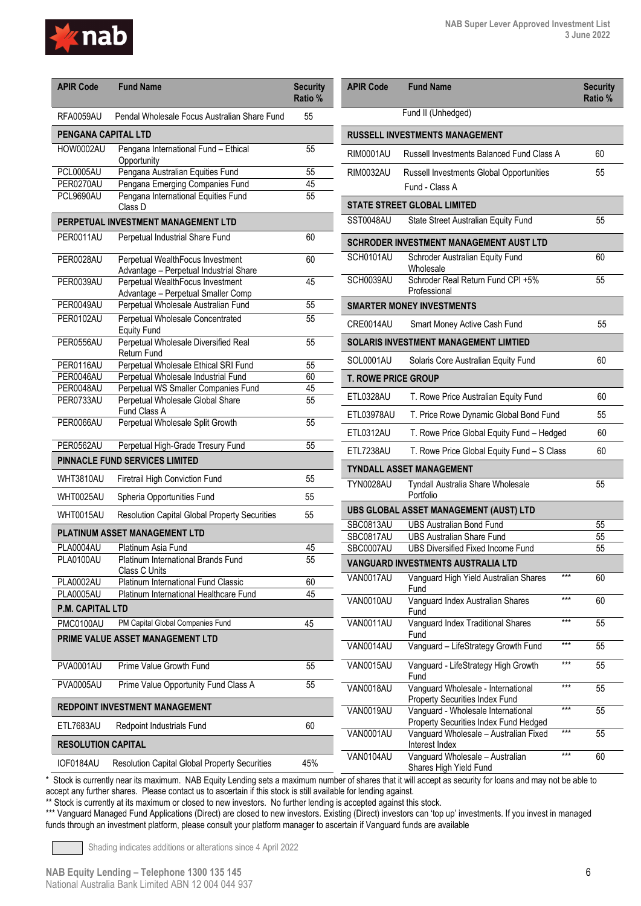

| <b>APIR Code</b>           | <b>Fund Name</b>                                                       | <b>Security</b><br>Ratio % |
|----------------------------|------------------------------------------------------------------------|----------------------------|
| <b>RFA0059AU</b>           | Pendal Wholesale Focus Australian Share Fund                           | 55                         |
| <b>PENGANA CAPITAL LTD</b> |                                                                        |                            |
| HOW0002AU                  | Pengana International Fund - Ethical<br>Opportunity                    | 55                         |
| <b>PCL0005AU</b>           | Pengana Australian Equities Fund                                       | 55                         |
| PER0270AU                  | Pengana Emerging Companies Fund                                        | 45                         |
| PCL9690AU                  | Pengana International Equities Fund<br>Class D                         | 55                         |
|                            | PERPETUAL INVESTMENT MANAGEMENT LTD                                    |                            |
| PER0011AU                  | Perpetual Industrial Share Fund                                        | 60                         |
| PER0028AU                  | Perpetual WealthFocus Investment                                       | 60                         |
|                            | Advantage - Perpetual Industrial Share                                 |                            |
| PER0039AU                  | Perpetual WealthFocus Investment<br>Advantage - Perpetual Smaller Comp | 45                         |
| PER0049AU                  | Perpetual Wholesale Australian Fund                                    | 55                         |
| PER0102AU                  | Perpetual Wholesale Concentrated                                       | 55                         |
|                            | <b>Equity Fund</b>                                                     |                            |
| PER0556AU                  | Perpetual Wholesale Diversified Real<br>Return Fund                    | 55                         |
| PER0116AU                  | Perpetual Wholesale Ethical SRI Fund                                   | 55                         |
| PER0046AU                  | Perpetual Wholesale Industrial Fund                                    | 60                         |
| PER0048AU                  | Perpetual WS Smaller Companies Fund                                    | 45                         |
| PER0733AU                  | Perpetual Wholesale Global Share<br>Fund Class A                       | 55                         |
| PER0066AU                  | Perpetual Wholesale Split Growth                                       | 55                         |
| PER0562AU                  | Perpetual High-Grade Tresury Fund                                      | 55                         |
|                            | PINNACLE FUND SERVICES LIMITED                                         |                            |
| WHT3810AU                  | Firetrail High Conviction Fund                                         | 55                         |
| WHT0025AU                  | Spheria Opportunities Fund                                             | 55                         |
| WHT0015AU                  | <b>Resolution Capital Global Property Securities</b>                   | 55                         |
|                            | PLATINUM ASSET MANAGEMENT LTD                                          |                            |
| PLA0004AU                  | Platinum Asia Fund                                                     | 45                         |
| PLA0100AU                  | Platinum International Brands Fund<br>Class C Units                    | 55                         |
| PLA0002AU                  | Platinum International Fund Classic                                    | 60                         |
| <b>PLA0005AU</b>           | Platinum International Healthcare Fund                                 | 45                         |
| <b>P.M. CAPITAL LTD</b>    |                                                                        |                            |
| PMC0100AU                  | PM Capital Global Companies Fund                                       | 45                         |
|                            | PRIME VALUE ASSET MANAGEMENT LTD                                       |                            |
| <b>PVA0001AU</b>           | Prime Value Growth Fund                                                | 55                         |
| <b>PVA0005AU</b>           | Prime Value Opportunity Fund Class A                                   | 55                         |
|                            | REDPOINT INVESTMENT MANAGEMENT                                         |                            |
| ETL7683AU                  | Redpoint Industrials Fund                                              | 60                         |
| <b>RESOLUTION CAPITAL</b>  |                                                                        |                            |

| <b>APIR Code</b>           | <b>Fund Name</b>                                                             |       | <b>Security</b><br>Ratio % |  |
|----------------------------|------------------------------------------------------------------------------|-------|----------------------------|--|
|                            | Fund II (Unhedged)                                                           |       |                            |  |
|                            | <b>RUSSELL INVESTMENTS MANAGEMENT</b>                                        |       |                            |  |
| <b>RIM0001AU</b>           | Russell Investments Balanced Fund Class A                                    |       | 60                         |  |
| RIM0032AU                  | <b>Russell Investments Global Opportunities</b><br>Fund - Class A            | 55    |                            |  |
|                            | <b>STATE STREET GLOBAL LIMITED</b>                                           |       |                            |  |
| SST0048AU                  | State Street Australian Equity Fund                                          |       | 55                         |  |
|                            | SCHRODER INVESTMENT MANAGEMENT AUST LTD                                      |       |                            |  |
| SCH0101AU                  | Schroder Australian Equity Fund<br>Wholesale                                 |       | 60<br>55                   |  |
| SCH0039AU                  | Schroder Real Return Fund CPI +5%<br>Professional                            |       |                            |  |
|                            | <b>SMARTER MONEY INVESTMENTS</b>                                             |       |                            |  |
| CRE0014AU                  | Smart Money Active Cash Fund                                                 |       | 55                         |  |
|                            | SOLARIS INVESTMENT MANAGEMENT LIMTIED                                        |       |                            |  |
| SOL0001AU                  | Solaris Core Australian Equity Fund                                          |       | 60                         |  |
| <b>T. ROWE PRICE GROUP</b> |                                                                              |       |                            |  |
| ETL0328AU                  | T. Rowe Price Australian Equity Fund                                         |       | 60                         |  |
| ETL03978AU                 | T. Price Rowe Dynamic Global Bond Fund                                       |       | 55                         |  |
| ETL0312AU                  | T. Rowe Price Global Equity Fund - Hedged                                    |       | 60                         |  |
| ETL7238AU                  | T. Rowe Price Global Equity Fund - S Class                                   |       |                            |  |
|                            | TYNDALL ASSET MANAGEMENT                                                     |       |                            |  |
| <b>TYN0028AU</b>           | Tyndall Australia Share Wholesale<br>Portfolio                               |       | 55                         |  |
|                            | UBS GLOBAL ASSET MANAGEMENT (AUST) LTD                                       |       |                            |  |
| SBC0813AU                  | <b>UBS Australian Bond Fund</b>                                              |       | 55                         |  |
| SBC0817AU<br>SBC0007AU     | <b>UBS Australian Share Fund</b><br><b>UBS Diversified Fixed Income Fund</b> |       | 55<br>55                   |  |
|                            | <b>VANGUARD INVESTMENTS AUSTRALIA LTD</b>                                    |       |                            |  |
| VAN0017AU                  | Vanguard High Yield Australian Shares<br>Fund                                | ***   | 60                         |  |
| <b>VAN0010AU</b>           | Vanguard Index Australian Shares<br>Fund                                     | ***   | 60                         |  |
| <b>VAN0011AU</b>           | Vanguard Index Traditional Shares<br>Fund                                    | ***   | 55                         |  |
| <b>VAN0014AU</b>           | Vanguard - LifeStrategy Growth Fund                                          | ***   | 55                         |  |
| <b>VAN0015AU</b>           | Vanguard - LifeStrategy High Growth<br>Fund                                  | ***   | 55                         |  |
| <b>VAN0018AU</b>           | Vanguard Wholesale - International<br>Property Securities Index Fund         | ***   | 55                         |  |
| VAN0019AU                  | Vanguard - Wholesale International<br>Property Securities Index Fund Hedged  | $***$ | 55                         |  |
| <b>VAN0001AU</b>           | Vanguard Wholesale - Australian Fixed<br>Interest Index                      | ***   | 55                         |  |
| VAN0104AU                  | Vanguard Wholesale - Australian                                              | $***$ | 60                         |  |

Shares High Yield Fund

\* Stock is currently near its maximum. NAB Equity Lending sets a maximum number of shares that it will accept as security for loans and may not be able to accept any further shares. Please contact us to ascertain if this stock is still available for lending against.

\*\* Stock is currently at its maximum or closed to new investors. No further lending is accepted against this stock.

\*\*\* Vanguard Managed Fund Applications (Direct) are closed to new investors. Existing (Direct) investors can 'top up' investments. If you invest in managed funds through an investment platform, please consult your platform manager to ascertain if Vanguard funds are available

Shading indicates additions or alterations since 4 April 2022

IOF0184AU Resolution Capital Global Property Securities 45%